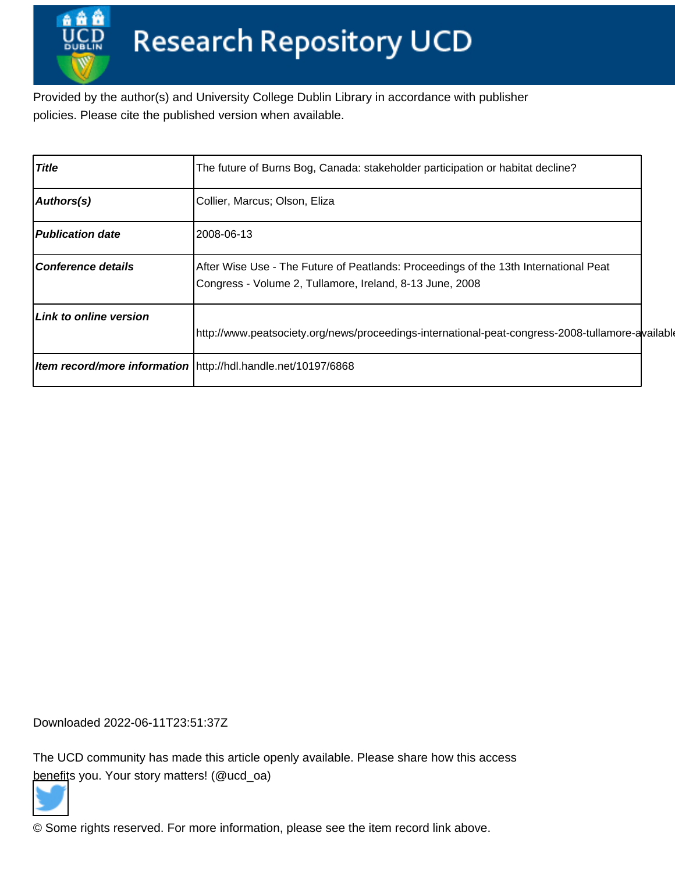Provided by the author(s) and University College Dublin Library in accordance with publisher policies. Please cite the published version when available.

| <b>Title</b>                  | The future of Burns Bog, Canada: stakeholder participation or habitat decline?                                                                   |  |
|-------------------------------|--------------------------------------------------------------------------------------------------------------------------------------------------|--|
| Authors(s)                    | Collier, Marcus; Olson, Eliza                                                                                                                    |  |
| <b>Publication date</b>       | 2008-06-13                                                                                                                                       |  |
| Conference details            | After Wise Use - The Future of Peatlands: Proceedings of the 13th International Peat<br>Congress - Volume 2, Tullamore, Ireland, 8-13 June, 2008 |  |
| <b>Link to online version</b> | http://www.peatsociety.org/news/proceedings-international-peat-congress-2008-tullamore-available                                                 |  |
|                               | <b>Item record/more information</b> http://hdl.handle.net/10197/6868                                                                             |  |

Downloaded 2022-06-11T23:51:37Z

The UCD community has made this article openly available. Please share how this access [benefit](https://twitter.com/intent/tweet?via=ucd_oa&text=The+future+of+Burns+Bog%2C+Canada%3A+stak...&url=http%3A%2F%2Fhdl.handle.net%2F10197%2F6868)s you. Your story matters! (@ucd\_oa)



© Some rights reserved. For more information, please see the item record link above.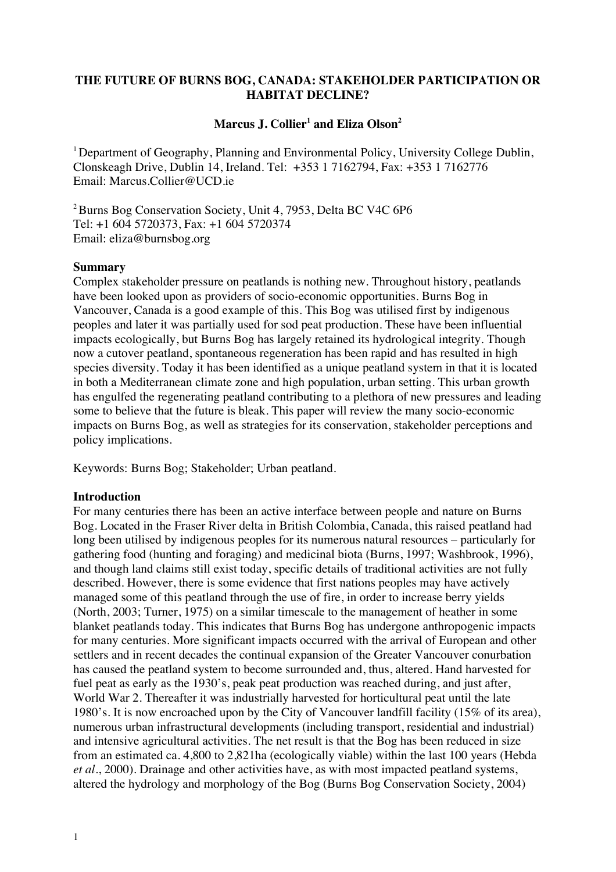# **THE FUTURE OF BURNS BOG, CANADA: STAKEHOLDER PARTICIPATION OR HABITAT DECLINE?**

# **Marcus J. Collier<sup>1</sup> and Eliza Olson<sup>2</sup>**

<sup>1</sup> Department of Geography, Planning and Environmental Policy, University College Dublin, Clonskeagh Drive, Dublin 14, Ireland. Tel: +353 1 7162794, Fax: +353 1 7162776 Email: Marcus.Collier@UCD.ie

2 Burns Bog Conservation Society, Unit 4, 7953, Delta BC V4C 6P6 Tel: +1 604 5720373, Fax: +1 604 5720374 Email: eliza@burnsbog.org

### **Summary**

Complex stakeholder pressure on peatlands is nothing new. Throughout history, peatlands have been looked upon as providers of socio-economic opportunities. Burns Bog in Vancouver, Canada is a good example of this. This Bog was utilised first by indigenous peoples and later it was partially used for sod peat production. These have been influential impacts ecologically, but Burns Bog has largely retained its hydrological integrity. Though now a cutover peatland, spontaneous regeneration has been rapid and has resulted in high species diversity. Today it has been identified as a unique peatland system in that it is located in both a Mediterranean climate zone and high population, urban setting. This urban growth has engulfed the regenerating peatland contributing to a plethora of new pressures and leading some to believe that the future is bleak. This paper will review the many socio-economic impacts on Burns Bog, as well as strategies for its conservation, stakeholder perceptions and policy implications.

Keywords: Burns Bog; Stakeholder; Urban peatland.

## **Introduction**

For many centuries there has been an active interface between people and nature on Burns Bog. Located in the Fraser River delta in British Colombia, Canada, this raised peatland had long been utilised by indigenous peoples for its numerous natural resources – particularly for gathering food (hunting and foraging) and medicinal biota (Burns, 1997; Washbrook, 1996), and though land claims still exist today, specific details of traditional activities are not fully described. However, there is some evidence that first nations peoples may have actively managed some of this peatland through the use of fire, in order to increase berry yields (North, 2003; Turner, 1975) on a similar timescale to the management of heather in some blanket peatlands today. This indicates that Burns Bog has undergone anthropogenic impacts for many centuries. More significant impacts occurred with the arrival of European and other settlers and in recent decades the continual expansion of the Greater Vancouver conurbation has caused the peatland system to become surrounded and, thus, altered. Hand harvested for fuel peat as early as the 1930's, peak peat production was reached during, and just after, World War 2. Thereafter it was industrially harvested for horticultural peat until the late 1980's. It is now encroached upon by the City of Vancouver landfill facility (15% of its area), numerous urban infrastructural developments (including transport, residential and industrial) and intensive agricultural activities. The net result is that the Bog has been reduced in size from an estimated ca. 4,800 to 2,821ha (ecologically viable) within the last 100 years (Hebda *et al*., 2000). Drainage and other activities have, as with most impacted peatland systems, altered the hydrology and morphology of the Bog (Burns Bog Conservation Society, 2004)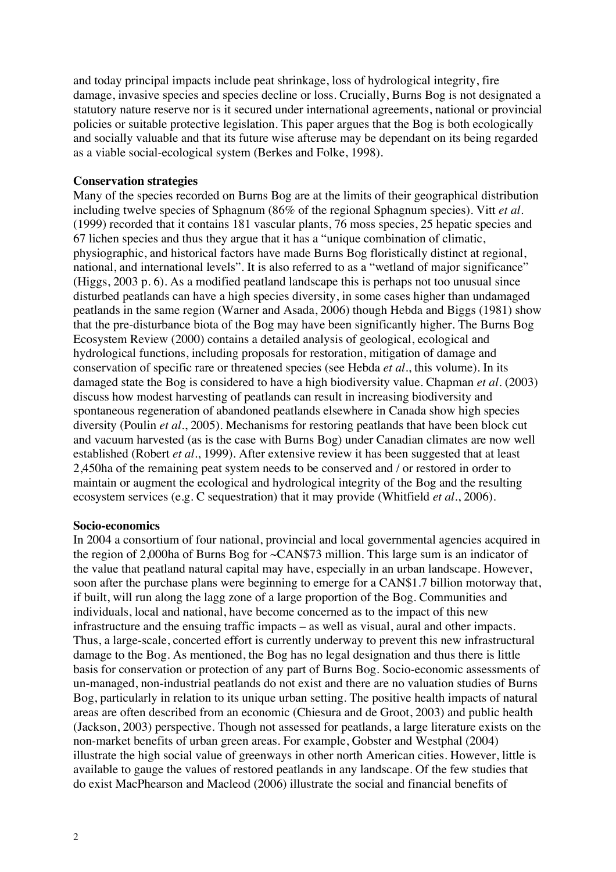and today principal impacts include peat shrinkage, loss of hydrological integrity, fire damage, invasive species and species decline or loss. Crucially, Burns Bog is not designated a statutory nature reserve nor is it secured under international agreements, national or provincial policies or suitable protective legislation. This paper argues that the Bog is both ecologically and socially valuable and that its future wise afteruse may be dependant on its being regarded as a viable social-ecological system (Berkes and Folke, 1998).

### **Conservation strategies**

Many of the species recorded on Burns Bog are at the limits of their geographical distribution including twelve species of Sphagnum (86% of the regional Sphagnum species). Vitt *et al*. (1999) recorded that it contains 181 vascular plants, 76 moss species, 25 hepatic species and 67 lichen species and thus they argue that it has a "unique combination of climatic, physiographic, and historical factors have made Burns Bog floristically distinct at regional, national, and international levels". It is also referred to as a "wetland of major significance" (Higgs, 2003 p. 6). As a modified peatland landscape this is perhaps not too unusual since disturbed peatlands can have a high species diversity, in some cases higher than undamaged peatlands in the same region (Warner and Asada, 2006) though Hebda and Biggs (1981) show that the pre-disturbance biota of the Bog may have been significantly higher. The Burns Bog Ecosystem Review (2000) contains a detailed analysis of geological, ecological and hydrological functions, including proposals for restoration, mitigation of damage and conservation of specific rare or threatened species (see Hebda *et al*., this volume). In its damaged state the Bog is considered to have a high biodiversity value. Chapman *et al*. (2003) discuss how modest harvesting of peatlands can result in increasing biodiversity and spontaneous regeneration of abandoned peatlands elsewhere in Canada show high species diversity (Poulin *et al*., 2005). Mechanisms for restoring peatlands that have been block cut and vacuum harvested (as is the case with Burns Bog) under Canadian climates are now well established (Robert *et al*., 1999). After extensive review it has been suggested that at least 2,450ha of the remaining peat system needs to be conserved and / or restored in order to maintain or augment the ecological and hydrological integrity of the Bog and the resulting ecosystem services (e.g. C sequestration) that it may provide (Whitfield *et al*., 2006).

### **Socio-economics**

In 2004 a consortium of four national, provincial and local governmental agencies acquired in the region of 2,000ha of Burns Bog for ~CAN\$73 million. This large sum is an indicator of the value that peatland natural capital may have, especially in an urban landscape. However, soon after the purchase plans were beginning to emerge for a CAN\$1.7 billion motorway that, if built, will run along the lagg zone of a large proportion of the Bog. Communities and individuals, local and national, have become concerned as to the impact of this new infrastructure and the ensuing traffic impacts – as well as visual, aural and other impacts. Thus, a large-scale, concerted effort is currently underway to prevent this new infrastructural damage to the Bog. As mentioned, the Bog has no legal designation and thus there is little basis for conservation or protection of any part of Burns Bog. Socio-economic assessments of un-managed, non-industrial peatlands do not exist and there are no valuation studies of Burns Bog, particularly in relation to its unique urban setting. The positive health impacts of natural areas are often described from an economic (Chiesura and de Groot, 2003) and public health (Jackson, 2003) perspective. Though not assessed for peatlands, a large literature exists on the non-market benefits of urban green areas. For example, Gobster and Westphal (2004) illustrate the high social value of greenways in other north American cities. However, little is available to gauge the values of restored peatlands in any landscape. Of the few studies that do exist MacPhearson and Macleod (2006) illustrate the social and financial benefits of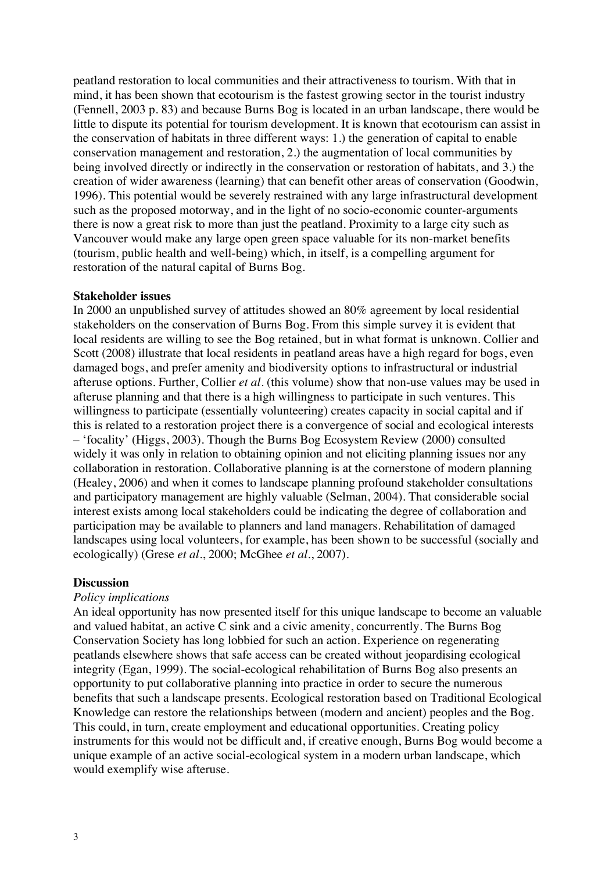peatland restoration to local communities and their attractiveness to tourism. With that in mind, it has been shown that ecotourism is the fastest growing sector in the tourist industry (Fennell, 2003 p. 83) and because Burns Bog is located in an urban landscape, there would be little to dispute its potential for tourism development. It is known that ecotourism can assist in the conservation of habitats in three different ways: 1.) the generation of capital to enable conservation management and restoration, 2.) the augmentation of local communities by being involved directly or indirectly in the conservation or restoration of habitats, and 3.) the creation of wider awareness (learning) that can benefit other areas of conservation (Goodwin, 1996). This potential would be severely restrained with any large infrastructural development such as the proposed motorway, and in the light of no socio-economic counter-arguments there is now a great risk to more than just the peatland. Proximity to a large city such as Vancouver would make any large open green space valuable for its non-market benefits (tourism, public health and well-being) which, in itself, is a compelling argument for restoration of the natural capital of Burns Bog.

### **Stakeholder issues**

In 2000 an unpublished survey of attitudes showed an 80% agreement by local residential stakeholders on the conservation of Burns Bog. From this simple survey it is evident that local residents are willing to see the Bog retained, but in what format is unknown. Collier and Scott (2008) illustrate that local residents in peatland areas have a high regard for bogs, even damaged bogs, and prefer amenity and biodiversity options to infrastructural or industrial afteruse options. Further, Collier *et al*. (this volume) show that non-use values may be used in afteruse planning and that there is a high willingness to participate in such ventures. This willingness to participate (essentially volunteering) creates capacity in social capital and if this is related to a restoration project there is a convergence of social and ecological interests – 'focality' (Higgs, 2003). Though the Burns Bog Ecosystem Review (2000) consulted widely it was only in relation to obtaining opinion and not eliciting planning issues nor any collaboration in restoration. Collaborative planning is at the cornerstone of modern planning (Healey, 2006) and when it comes to landscape planning profound stakeholder consultations and participatory management are highly valuable (Selman, 2004). That considerable social interest exists among local stakeholders could be indicating the degree of collaboration and participation may be available to planners and land managers. Rehabilitation of damaged landscapes using local volunteers, for example, has been shown to be successful (socially and ecologically) (Grese *et al*., 2000; McGhee *et al*., 2007).

#### **Discussion**

#### *Policy implications*

An ideal opportunity has now presented itself for this unique landscape to become an valuable and valued habitat, an active C sink and a civic amenity, concurrently. The Burns Bog Conservation Society has long lobbied for such an action. Experience on regenerating peatlands elsewhere shows that safe access can be created without jeopardising ecological integrity (Egan, 1999). The social-ecological rehabilitation of Burns Bog also presents an opportunity to put collaborative planning into practice in order to secure the numerous benefits that such a landscape presents. Ecological restoration based on Traditional Ecological Knowledge can restore the relationships between (modern and ancient) peoples and the Bog. This could, in turn, create employment and educational opportunities. Creating policy instruments for this would not be difficult and, if creative enough, Burns Bog would become a unique example of an active social-ecological system in a modern urban landscape, which would exemplify wise afteruse.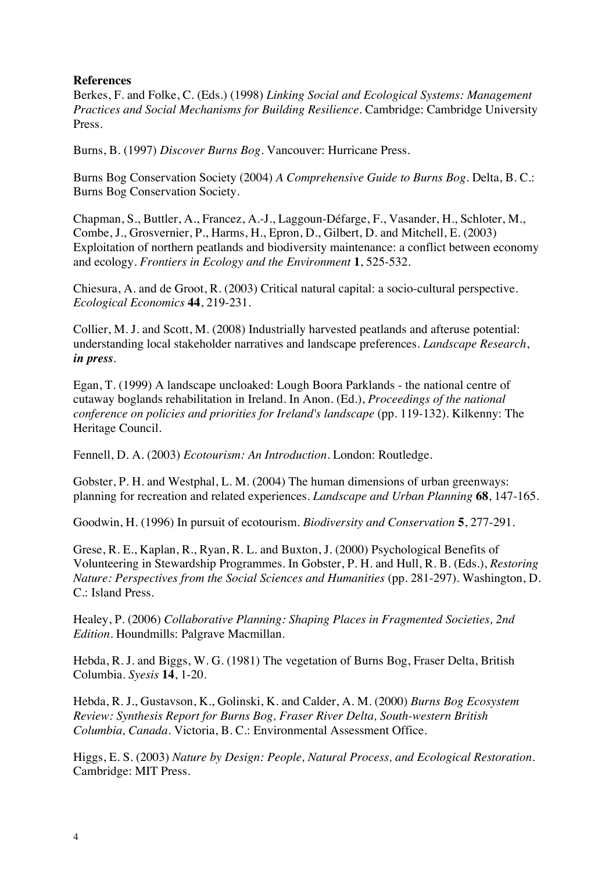# **References**

Berkes, F. and Folke, C. (Eds.) (1998) *Linking Social and Ecological Systems: Management Practices and Social Mechanisms for Building Resilience*. Cambridge: Cambridge University Press.

Burns, B. (1997) *Discover Burns Bog*. Vancouver: Hurricane Press.

Burns Bog Conservation Society (2004) *A Comprehensive Guide to Burns Bog*. Delta, B. C.: Burns Bog Conservation Society.

Chapman, S., Buttler, A., Francez, A.-J., Laggoun-Défarge, F., Vasander, H., Schloter, M., Combe, J., Grosvernier, P., Harms, H., Epron, D., Gilbert, D. and Mitchell, E. (2003) Exploitation of northern peatlands and biodiversity maintenance: a conflict between economy and ecology. *Frontiers in Ecology and the Environment* **1**, 525-532.

Chiesura, A. and de Groot, R. (2003) Critical natural capital: a socio-cultural perspective. *Ecological Economics* **44**, 219-231.

Collier, M. J. and Scott, M. (2008) Industrially harvested peatlands and afteruse potential: understanding local stakeholder narratives and landscape preferences. *Landscape Research*, *in press*.

Egan, T. (1999) A landscape uncloaked: Lough Boora Parklands - the national centre of cutaway boglands rehabilitation in Ireland. In Anon. (Ed.), *Proceedings of the national conference on policies and priorities for Ireland's landscape* (pp. 119-132). Kilkenny: The Heritage Council.

Fennell, D. A. (2003) *Ecotourism: An Introduction*. London: Routledge.

Gobster, P. H. and Westphal, L. M. (2004) The human dimensions of urban greenways: planning for recreation and related experiences. *Landscape and Urban Planning* **68**, 147-165.

Goodwin, H. (1996) In pursuit of ecotourism. *Biodiversity and Conservation* **5**, 277-291.

Grese, R. E., Kaplan, R., Ryan, R. L. and Buxton, J. (2000) Psychological Benefits of Volunteering in Stewardship Programmes. In Gobster, P. H. and Hull, R. B. (Eds.), *Restoring Nature: Perspectives from the Social Sciences and Humanities* (pp. 281-297). Washington, D. C.: Island Press.

Healey, P. (2006) *Collaborative Planning: Shaping Places in Fragmented Societies, 2nd Edition*. Houndmills: Palgrave Macmillan.

Hebda, R. J. and Biggs, W. G. (1981) The vegetation of Burns Bog, Fraser Delta, British Columbia. *Syesis* **14**, 1-20.

Hebda, R. J., Gustavson, K., Golinski, K. and Calder, A. M. (2000) *Burns Bog Ecosystem Review: Synthesis Report for Burns Bog, Fraser River Delta, South-western British Columbia, Canada*. Victoria, B. C.: Environmental Assessment Office.

Higgs, E. S. (2003) *Nature by Design: People, Natural Process, and Ecological Restoration*. Cambridge: MIT Press.